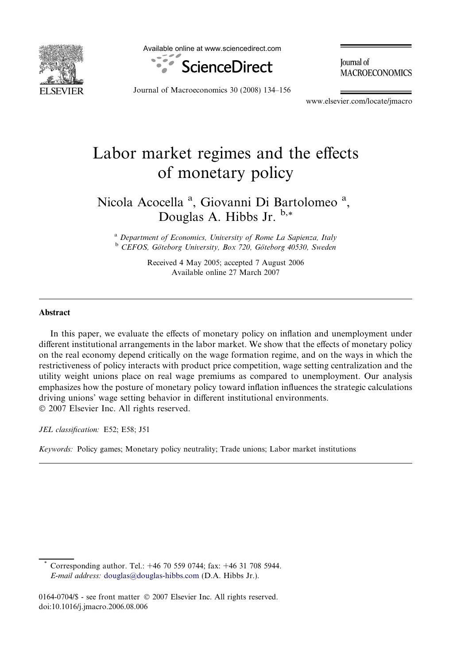

Available online at www.sciencedirect.com



**Iournal** of **MACROECONOMICS** 

Journal of Macroeconomics 30 (2008) 134–156

www.elsevier.com/locate/jmacro

# Labor market regimes and the effects of monetary policy

### Nicola Acocella<sup>a</sup>, Giovanni Di Bartolomeo<sup>a</sup>, Douglas A. Hibbs Jr.  $b.*$

<sup>a</sup> Department of Economics, University of Rome La Sapienza, Italy <sup>b</sup> CEFOS, Göteborg University, Box 720, Göteborg 40530, Sweden

> Received 4 May 2005; accepted 7 August 2006 Available online 27 March 2007

#### Abstract

In this paper, we evaluate the effects of monetary policy on inflation and unemployment under different institutional arrangements in the labor market. We show that the effects of monetary policy on the real economy depend critically on the wage formation regime, and on the ways in which the restrictiveness of policy interacts with product price competition, wage setting centralization and the utility weight unions place on real wage premiums as compared to unemployment. Our analysis emphasizes how the posture of monetary policy toward inflation influences the strategic calculations driving unions' wage setting behavior in different institutional environments.  $© 2007 Elsevier Inc. All rights reserved.$ 

JEL classification: E52; E58; J51

Keywords: Policy games; Monetary policy neutrality; Trade unions; Labor market institutions

Corresponding author. Tel.: +46 70 559 0744; fax: +46 31 708 5944. E-mail address: [douglas@douglas-hibbs.com](mailto:douglas@douglas-hibbs.com) (D.A. Hibbs Jr.).

<sup>0164-0704/\$ -</sup> see front matter © 2007 Elsevier Inc. All rights reserved. doi:10.1016/j.jmacro.2006.08.006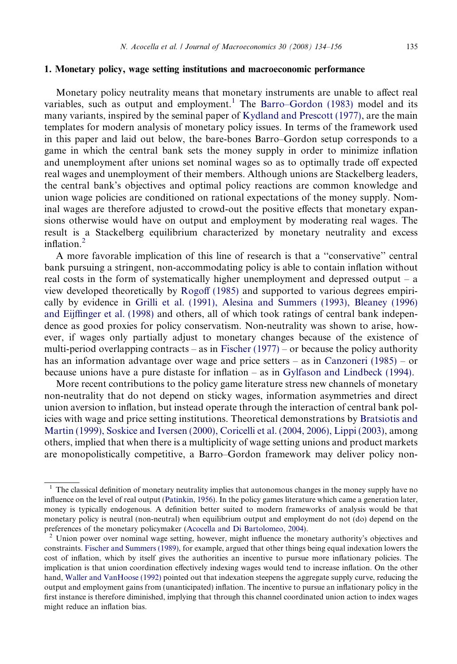### 1. Monetary policy, wage setting institutions and macroeconomic performance

Monetary policy neutrality means that monetary instruments are unable to affect real variables, such as output and employment.<sup>1</sup> The [Barro–Gordon \(1983\)](#page--1-0) model and its many variants, inspired by the seminal paper of [Kydland and Prescott \(1977\)](#page--1-0), are the main templates for modern analysis of monetary policy issues. In terms of the framework used in this paper and laid out below, the bare-bones Barro–Gordon setup corresponds to a game in which the central bank sets the money supply in order to minimize inflation and unemployment after unions set nominal wages so as to optimally trade off expected real wages and unemployment of their members. Although unions are Stackelberg leaders, the central bank's objectives and optimal policy reactions are common knowledge and union wage policies are conditioned on rational expectations of the money supply. Nominal wages are therefore adjusted to crowd-out the positive effects that monetary expansions otherwise would have on output and employment by moderating real wages. The result is a Stackelberg equilibrium characterized by monetary neutrality and excess inflation $^2$ 

A more favorable implication of this line of research is that a ''conservative'' central bank pursuing a stringent, non-accommodating policy is able to contain inflation without real costs in the form of systematically higher unemployment and depressed output – a view developed theoretically by [Rogoff \(1985\)](#page--1-0) and supported to various degrees empirically by evidence in [Grilli et al. \(1991\), Alesina and Summers \(1993\), Bleaney \(1996\)](#page--1-0) [and Eijffinger et al. \(1998\)](#page--1-0) and others, all of which took ratings of central bank independence as good proxies for policy conservatism. Non-neutrality was shown to arise, however, if wages only partially adjust to monetary changes because of the existence of multi-period overlapping contracts – as in Fischer  $(1977)$  – or because the policy authority has an information advantage over wage and price setters – as in [Canzoneri \(1985\)](#page--1-0) – or because unions have a pure distaste for inflation – as in [Gylfason and Lindbeck \(1994\).](#page--1-0)

More recent contributions to the policy game literature stress new channels of monetary non-neutrality that do not depend on sticky wages, information asymmetries and direct union aversion to inflation, but instead operate through the interaction of central bank policies with wage and price setting institutions. Theoretical demonstrations by [Bratsiotis and](#page--1-0) [Martin \(1999\), Soskice and Iversen \(2000\), Coricelli et al. \(2004, 2006\), Lippi \(2003\),](#page--1-0) among others, implied that when there is a multiplicity of wage setting unions and product markets are monopolistically competitive, a Barro–Gordon framework may deliver policy non-

 $1$  The classical definition of monetary neutrality implies that autonomous changes in the money supply have no influence on the level of real output ([Patinkin, 1956\)](#page--1-0). In the policy games literature which came a generation later, money is typically endogenous. A definition better suited to modern frameworks of analysis would be that monetary policy is neutral (non-neutral) when equilibrium output and employment do not (do) depend on the preferences of the monetary policymaker (Acocella and Di Bartolomeo, 2004).

<sup>&</sup>lt;sup>2</sup> Union power over nominal wage setting, however, might influence the monetary authority's objectives and constraints. [Fischer and Summers \(1989\)](#page--1-0), for example, argued that other things being equal indexation lowers the cost of inflation, which by itself gives the authorities an incentive to pursue more inflationary policies. The implication is that union coordination effectively indexing wages would tend to increase inflation. On the other hand, [Waller and VanHoose \(1992\)](#page--1-0) pointed out that indexation steepens the aggregate supply curve, reducing the output and employment gains from (unanticipated) inflation. The incentive to pursue an inflationary policy in the first instance is therefore diminished, implying that through this channel coordinated union action to index wages might reduce an inflation bias.